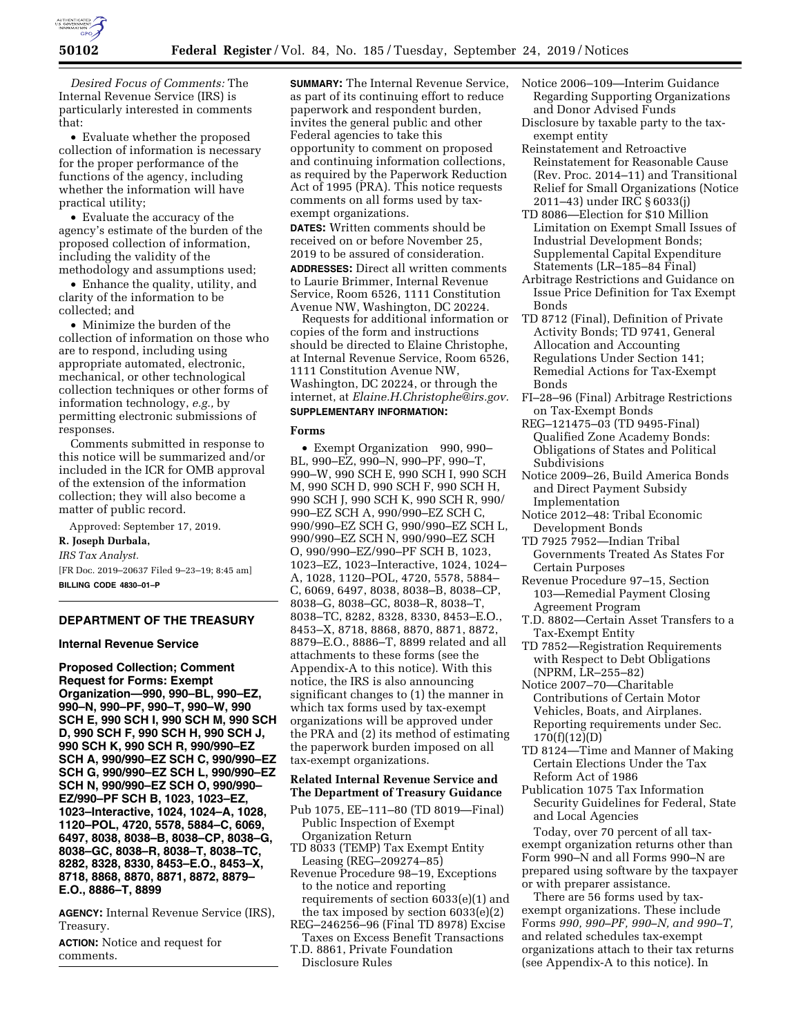

*Desired Focus of Comments:* The Internal Revenue Service (IRS) is particularly interested in comments that:

• Evaluate whether the proposed collection of information is necessary for the proper performance of the functions of the agency, including whether the information will have practical utility;

• Evaluate the accuracy of the agency's estimate of the burden of the proposed collection of information, including the validity of the methodology and assumptions used;

• Enhance the quality, utility, and clarity of the information to be collected; and

• Minimize the burden of the collection of information on those who are to respond, including using appropriate automated, electronic, mechanical, or other technological collection techniques or other forms of information technology, *e.g.,* by permitting electronic submissions of responses.

Comments submitted in response to this notice will be summarized and/or included in the ICR for OMB approval of the extension of the information collection; they will also become a matter of public record.

Approved: September 17, 2019.

# **R. Joseph Durbala,**

*IRS Tax Analyst.* 

[FR Doc. 2019–20637 Filed 9–23–19; 8:45 am] **BILLING CODE 4830–01–P** 

### **DEPARTMENT OF THE TREASURY**

#### **Internal Revenue Service**

**Proposed Collection; Comment Request for Forms: Exempt Organization—990, 990–BL, 990–EZ, 990–N, 990–PF, 990–T, 990–W, 990 SCH E, 990 SCH I, 990 SCH M, 990 SCH D, 990 SCH F, 990 SCH H, 990 SCH J, 990 SCH K, 990 SCH R, 990/990–EZ SCH A, 990/990–EZ SCH C, 990/990–EZ SCH G, 990/990–EZ SCH L, 990/990–EZ SCH N, 990/990–EZ SCH O, 990/990– EZ/990–PF SCH B, 1023, 1023–EZ, 1023–Interactive, 1024, 1024–A, 1028, 1120–POL, 4720, 5578, 5884–C, 6069, 6497, 8038, 8038–B, 8038–CP, 8038–G, 8038–GC, 8038–R, 8038–T, 8038–TC, 8282, 8328, 8330, 8453–E.O., 8453–X, 8718, 8868, 8870, 8871, 8872, 8879– E.O., 8886–T, 8899** 

**AGENCY:** Internal Revenue Service (IRS), Treasury.

**ACTION:** Notice and request for comments.

**SUMMARY:** The Internal Revenue Service, as part of its continuing effort to reduce paperwork and respondent burden, invites the general public and other Federal agencies to take this opportunity to comment on proposed and continuing information collections, as required by the Paperwork Reduction Act of 1995 (PRA). This notice requests comments on all forms used by taxexempt organizations.

**DATES:** Written comments should be received on or before November 25, 2019 to be assured of consideration.

**ADDRESSES:** Direct all written comments to Laurie Brimmer, Internal Revenue Service, Room 6526, 1111 Constitution Avenue NW, Washington, DC 20224.

Requests for additional information or copies of the form and instructions should be directed to Elaine Christophe, at Internal Revenue Service, Room 6526, 1111 Constitution Avenue NW, Washington, DC 20224, or through the internet, at *[Elaine.H.Christophe@irs.gov.](mailto:Elaine.H.Christophe@irs.gov)*  **SUPPLEMENTARY INFORMATION:** 

#### **Forms**

• Exempt Organization 990, 990– BL, 990–EZ, 990–N, 990–PF, 990–T, 990–W, 990 SCH E, 990 SCH I, 990 SCH M, 990 SCH D, 990 SCH F, 990 SCH H, 990 SCH J, 990 SCH K, 990 SCH R, 990/ 990–EZ SCH A, 990/990–EZ SCH C, 990/990–EZ SCH G, 990/990–EZ SCH L, 990/990–EZ SCH N, 990/990–EZ SCH O, 990/990–EZ/990–PF SCH B, 1023, 1023–EZ, 1023–Interactive, 1024, 1024– A, 1028, 1120–POL, 4720, 5578, 5884– C, 6069, 6497, 8038, 8038–B, 8038–CP, 8038–G, 8038–GC, 8038–R, 8038–T, 8038–TC, 8282, 8328, 8330, 8453–E.O., 8453–X, 8718, 8868, 8870, 8871, 8872, 8879–E.O., 8886–T, 8899 related and all attachments to these forms (see the Appendix-A to this notice). With this notice, the IRS is also announcing significant changes to (1) the manner in which tax forms used by tax-exempt organizations will be approved under the PRA and (2) its method of estimating the paperwork burden imposed on all tax-exempt organizations.

## **Related Internal Revenue Service and The Department of Treasury Guidance**

- Pub 1075, EE–111–80 (TD 8019—Final) Public Inspection of Exempt Organization Return
- TD 8033 (TEMP) Tax Exempt Entity Leasing (REG–209274–85)
- Revenue Procedure 98–19, Exceptions to the notice and reporting requirements of section 6033(e)(1) and the tax imposed by section 6033(e)(2)
- REG–246256–96 (Final TD 8978) Excise Taxes on Excess Benefit Transactions
- T.D. 8861, Private Foundation Disclosure Rules
- Notice 2006–109—Interim Guidance Regarding Supporting Organizations and Donor Advised Funds
- Disclosure by taxable party to the taxexempt entity
- Reinstatement and Retroactive Reinstatement for Reasonable Cause (Rev. Proc. 2014–11) and Transitional Relief for Small Organizations (Notice 2011–43) under IRC § 6033(j)
- TD 8086—Election for \$10 Million Limitation on Exempt Small Issues of Industrial Development Bonds; Supplemental Capital Expenditure Statements (LR–185–84 Final)
- Arbitrage Restrictions and Guidance on Issue Price Definition for Tax Exempt Bonds
- TD 8712 (Final), Definition of Private Activity Bonds; TD 9741, General Allocation and Accounting Regulations Under Section 141; Remedial Actions for Tax-Exempt Bonds
- FI–28–96 (Final) Arbitrage Restrictions on Tax-Exempt Bonds
- REG–121475–03 (TD 9495-Final) Qualified Zone Academy Bonds: Obligations of States and Political Subdivisions
- Notice 2009–26, Build America Bonds and Direct Payment Subsidy Implementation
- Notice 2012–48: Tribal Economic Development Bonds
- TD 7925 7952—Indian Tribal Governments Treated As States For Certain Purposes
- Revenue Procedure 97–15, Section 103—Remedial Payment Closing Agreement Program
- T.D. 8802—Certain Asset Transfers to a Tax-Exempt Entity
- TD 7852—Registration Requirements with Respect to Debt Obligations (NPRM, LR–255–82)
- Notice 2007–70—Charitable Contributions of Certain Motor Vehicles, Boats, and Airplanes. Reporting requirements under Sec. 170(f)(12)(D)
- TD 8124—Time and Manner of Making Certain Elections Under the Tax Reform Act of 1986
- Publication 1075 Tax Information Security Guidelines for Federal, State and Local Agencies

Today, over 70 percent of all taxexempt organization returns other than Form 990–N and all Forms 990–N are prepared using software by the taxpayer or with preparer assistance.

There are 56 forms used by taxexempt organizations. These include Forms *990, 990–PF, 990–N, and 990–T,*  and related schedules tax-exempt organizations attach to their tax returns (see Appendix-A to this notice). In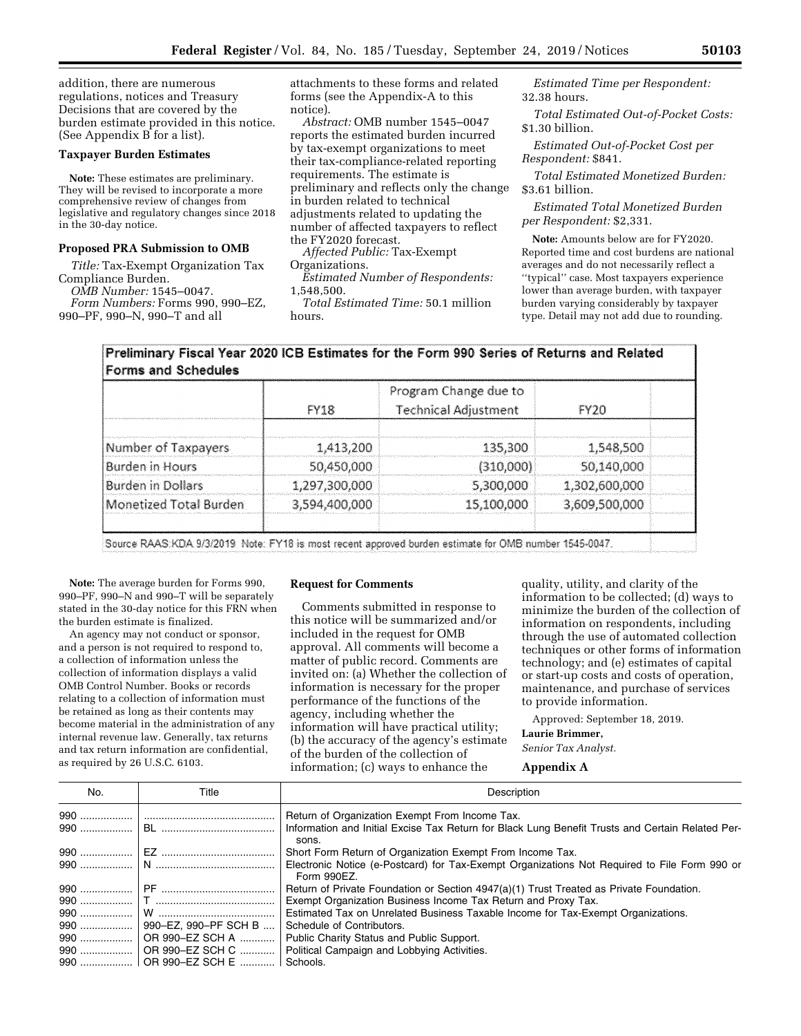addition, there are numerous regulations, notices and Treasury Decisions that are covered by the burden estimate provided in this notice. (See Appendix B for a list).

#### **Taxpayer Burden Estimates**

**Note:** These estimates are preliminary. They will be revised to incorporate a more comprehensive review of changes from legislative and regulatory changes since 2018 in the 30-day notice.

#### **Proposed PRA Submission to OMB**

*Title:* Tax-Exempt Organization Tax Compliance Burden.

*OMB Number:* 1545–0047.

*Form Numbers:* Forms 990, 990–EZ, 990–PF, 990–N, 990–T and all

attachments to these forms and related forms (see the Appendix-A to this notice).

*Abstract:* OMB number 1545–0047 reports the estimated burden incurred by tax-exempt organizations to meet their tax-compliance-related reporting requirements. The estimate is preliminary and reflects only the change in burden related to technical adjustments related to updating the number of affected taxpayers to reflect the FY2020 forecast.

*Affected Public:* Tax-Exempt Organizations.

*Estimated Number of Respondents:*  1,548,500.

*Total Estimated Time:* 50.1 million hours.

*Estimated Time per Respondent:*  32.38 hours.

*Total Estimated Out-of-Pocket Costs:*  \$1.30 billion.

*Estimated Out-of-Pocket Cost per Respondent:* \$841.

*Total Estimated Monetized Burden:*  \$3.61 billion.

*Estimated Total Monetized Burden per Respondent:* \$2,331.

**Note:** Amounts below are for FY2020. Reported time and cost burdens are national averages and do not necessarily reflect a ''typical'' case. Most taxpayers experience lower than average burden, with taxpayer burden varying considerably by taxpayer type. Detail may not add due to rounding.

## Preliminary Fiscal Year 2020 ICB Estimates for the Form 990 Series of Returns and Related **Forms and Schedules**

|                          | <b>FY18</b>   | Program Change due to<br><b>Technical Adjustment</b> | FY20          |  |
|--------------------------|---------------|------------------------------------------------------|---------------|--|
| Number of Taxpayers      | 1,413,200     | 135,300                                              | 1,548,500     |  |
| Burden in Hours          | 50,450,000    | (310,000)                                            | 50,140,000    |  |
| <b>Burden in Dollars</b> | 1,297,300,000 | 5,300,000                                            | 1,302,600,000 |  |
| Monetized Total Burden   | 3,594,400,000 | 15,100,000                                           | 3,609,500,000 |  |
|                          |               |                                                      |               |  |

Source RAAS:KDA:9/3/2019: Note: FY18 is most recent approved burden estimate for OMB number 1545-0047.

**Note:** The average burden for Forms 990, 990–PF, 990–N and 990–T will be separately stated in the 30-day notice for this FRN when the burden estimate is finalized.

An agency may not conduct or sponsor, and a person is not required to respond to, a collection of information unless the collection of information displays a valid OMB Control Number. Books or records relating to a collection of information must be retained as long as their contents may become material in the administration of any internal revenue law. Generally, tax returns and tax return information are confidential, as required by 26 U.S.C. 6103.

#### **Request for Comments**

Comments submitted in response to this notice will be summarized and/or included in the request for OMB approval. All comments will become a matter of public record. Comments are invited on: (a) Whether the collection of information is necessary for the proper performance of the functions of the agency, including whether the information will have practical utility; (b) the accuracy of the agency's estimate of the burden of the collection of information; (c) ways to enhance the

quality, utility, and clarity of the information to be collected; (d) ways to minimize the burden of the collection of information on respondents, including through the use of automated collection techniques or other forms of information technology; and (e) estimates of capital or start-up costs and costs of operation, maintenance, and purchase of services to provide information.

Approved: September 18, 2019. **Laurie Brimmer,**  *Senior Tax Analyst.* 

#### **Appendix A**

| No. | Title                              | Description                                                                                                 |
|-----|------------------------------------|-------------------------------------------------------------------------------------------------------------|
|     |                                    | Return of Organization Exempt From Income Tax.                                                              |
|     |                                    | Information and Initial Excise Tax Return for Black Lung Benefit Trusts and Certain Related Per-<br>sons.   |
|     |                                    | Short Form Return of Organization Exempt From Income Tax.                                                   |
|     |                                    | Electronic Notice (e-Postcard) for Tax-Exempt Organizations Not Required to File Form 990 or<br>Form 990EZ. |
|     |                                    | Return of Private Foundation or Section 4947(a)(1) Trust Treated as Private Foundation.                     |
|     |                                    | Exempt Organization Business Income Tax Return and Proxy Tax.                                               |
|     |                                    | Estimated Tax on Unrelated Business Taxable Income for Tax-Exempt Organizations.                            |
|     |                                    | Schedule of Contributors.                                                                                   |
|     |                                    | Public Charity Status and Public Support.                                                                   |
|     |                                    | Political Campaign and Lobbying Activities.                                                                 |
|     | 990    OR 990–EZ SCH E    Schools. |                                                                                                             |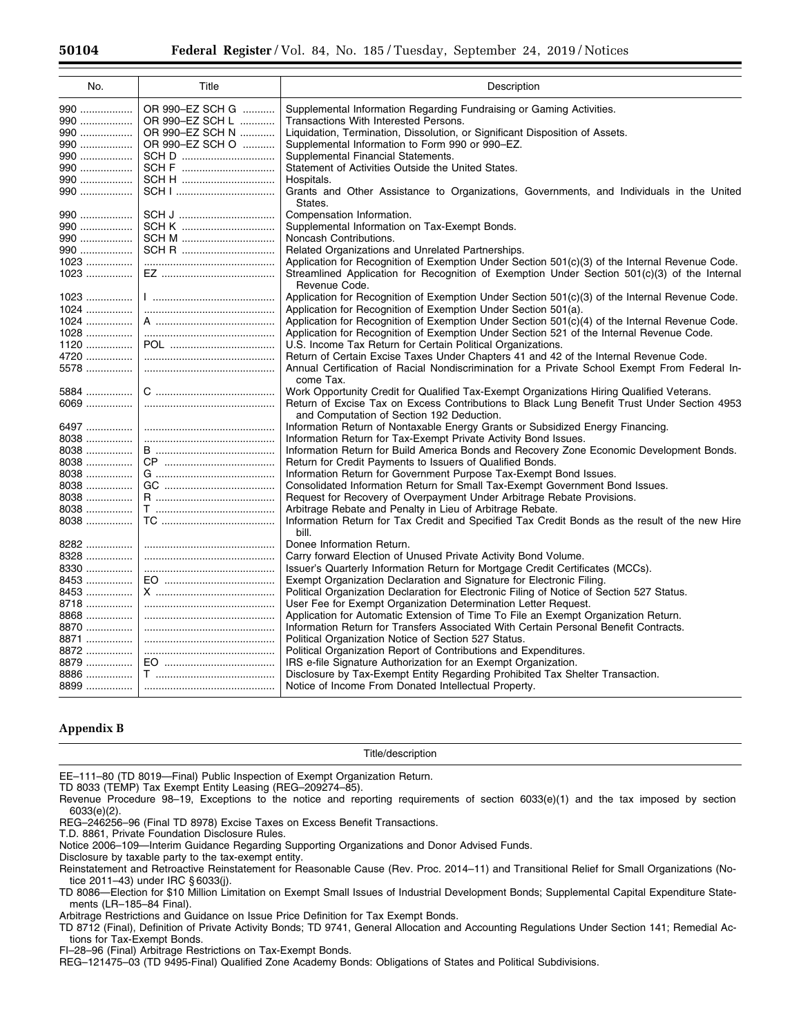| No.    | Title           | Description                                                                                                                              |
|--------|-----------------|------------------------------------------------------------------------------------------------------------------------------------------|
| 990    | OR 990-EZ SCH G | Supplemental Information Regarding Fundraising or Gaming Activities.                                                                     |
| 990    | OR 990-EZ SCH L | Transactions With Interested Persons.                                                                                                    |
| 990    | OR 990-EZ SCH N | Liquidation, Termination, Dissolution, or Significant Disposition of Assets.                                                             |
| 990    | OR 990-EZ SCH O | Supplemental Information to Form 990 or 990-EZ.                                                                                          |
| 990    |                 | Supplemental Financial Statements.                                                                                                       |
| 990    |                 | Statement of Activities Outside the United States.                                                                                       |
| 990    |                 | Hospitals.                                                                                                                               |
| 990    |                 | Grants and Other Assistance to Organizations, Governments, and Individuals in the United<br>States.                                      |
| 990    |                 | Compensation Information.                                                                                                                |
| 990    |                 | Supplemental Information on Tax-Exempt Bonds.                                                                                            |
| 990    | SCH M           | Noncash Contributions.                                                                                                                   |
| 990    |                 | Related Organizations and Unrelated Partnerships.                                                                                        |
| 1023   |                 | Application for Recognition of Exemption Under Section 501(c)(3) of the Internal Revenue Code.                                           |
| 1023   |                 | Streamlined Application for Recognition of Exemption Under Section 501(c)(3) of the Internal<br>Revenue Code.                            |
| $1023$ |                 | Application for Recognition of Exemption Under Section 501(c)(3) of the Internal Revenue Code.                                           |
| 1024   |                 | Application for Recognition of Exemption Under Section 501(a).                                                                           |
| 1024   |                 | Application for Recognition of Exemption Under Section $501(c)(4)$ of the Internal Revenue Code.                                         |
| $1028$ |                 | Application for Recognition of Exemption Under Section 521 of the Internal Revenue Code.                                                 |
| $1120$ |                 | U.S. Income Tax Return for Certain Political Organizations.                                                                              |
| 4720   |                 | Return of Certain Excise Taxes Under Chapters 41 and 42 of the Internal Revenue Code.                                                    |
| 5578   |                 | Annual Certification of Racial Nondiscrimination for a Private School Exempt From Federal In-<br>come Tax.                               |
| 5884   |                 | Work Opportunity Credit for Qualified Tax-Exempt Organizations Hiring Qualified Veterans.                                                |
| 6069   |                 | Return of Excise Tax on Excess Contributions to Black Lung Benefit Trust Under Section 4953<br>and Computation of Section 192 Deduction. |
| 6497   |                 | Information Return of Nontaxable Energy Grants or Subsidized Energy Financing.                                                           |
| 8038   |                 | Information Return for Tax-Exempt Private Activity Bond Issues.                                                                          |
| $8038$ |                 | Information Return for Build America Bonds and Recovery Zone Economic Development Bonds.                                                 |
| 8038   |                 | Return for Credit Payments to Issuers of Qualified Bonds.                                                                                |
| 8038   |                 | Information Return for Government Purpose Tax-Exempt Bond Issues.                                                                        |
| 8038   |                 | Consolidated Information Return for Small Tax-Exempt Government Bond Issues.                                                             |
| 8038   |                 | Request for Recovery of Overpayment Under Arbitrage Rebate Provisions.                                                                   |
| 8038   |                 | Arbitrage Rebate and Penalty in Lieu of Arbitrage Rebate.                                                                                |
| 8038   |                 | Information Return for Tax Credit and Specified Tax Credit Bonds as the result of the new Hire<br>bill.                                  |
| 8282   |                 | Donee Information Return.                                                                                                                |
| 8328   |                 | Carry forward Election of Unused Private Activity Bond Volume.                                                                           |
| 8330   |                 | Issuer's Quarterly Information Return for Mortgage Credit Certificates (MCCs).                                                           |
| 8453   |                 | Exempt Organization Declaration and Signature for Electronic Filing.                                                                     |
| 8453   |                 | Political Organization Declaration for Electronic Filing of Notice of Section 527 Status.                                                |
| 8718   |                 | User Fee for Exempt Organization Determination Letter Request.                                                                           |
| 8868   |                 | Application for Automatic Extension of Time To File an Exempt Organization Return.                                                       |
| 8870   |                 | Information Return for Transfers Associated With Certain Personal Benefit Contracts.                                                     |
| 8871   |                 | Political Organization Notice of Section 527 Status.                                                                                     |
| 8872   |                 | Political Organization Report of Contributions and Expenditures.                                                                         |
| 8879   |                 | IRS e-file Signature Authorization for an Exempt Organization.                                                                           |
| 8886   |                 | Disclosure by Tax-Exempt Entity Regarding Prohibited Tax Shelter Transaction.                                                            |
| 8899   |                 | Notice of Income From Donated Intellectual Property.                                                                                     |

## **Appendix B**

#### Title/description

EE–111–80 (TD 8019—Final) Public Inspection of Exempt Organization Return.

TD 8033 (TEMP) Tax Exempt Entity Leasing (REG–209274–85).

REG–246256–96 (Final TD 8978) Excise Taxes on Excess Benefit Transactions.

T.D. 8861, Private Foundation Disclosure Rules.

Notice 2006–109—Interim Guidance Regarding Supporting Organizations and Donor Advised Funds.

Disclosure by taxable party to the tax-exempt entity.

Arbitrage Restrictions and Guidance on Issue Price Definition for Tax Exempt Bonds.

TD 8712 (Final), Definition of Private Activity Bonds; TD 9741, General Allocation and Accounting Regulations Under Section 141; Remedial Actions for Tax-Exempt Bonds.

FI–28–96 (Final) Arbitrage Restrictions on Tax-Exempt Bonds.

REG–121475–03 (TD 9495-Final) Qualified Zone Academy Bonds: Obligations of States and Political Subdivisions.

Revenue Procedure 98–19, Exceptions to the notice and reporting requirements of section 6033(e)(1) and the tax imposed by section 6033(e)(2).

Reinstatement and Retroactive Reinstatement for Reasonable Cause (Rev. Proc. 2014–11) and Transitional Relief for Small Organizations (Notice 2011–43) under IRC § 6033(j).

TD 8086—Election for \$10 Million Limitation on Exempt Small Issues of Industrial Development Bonds; Supplemental Capital Expenditure Statements (LR–185–84 Final).